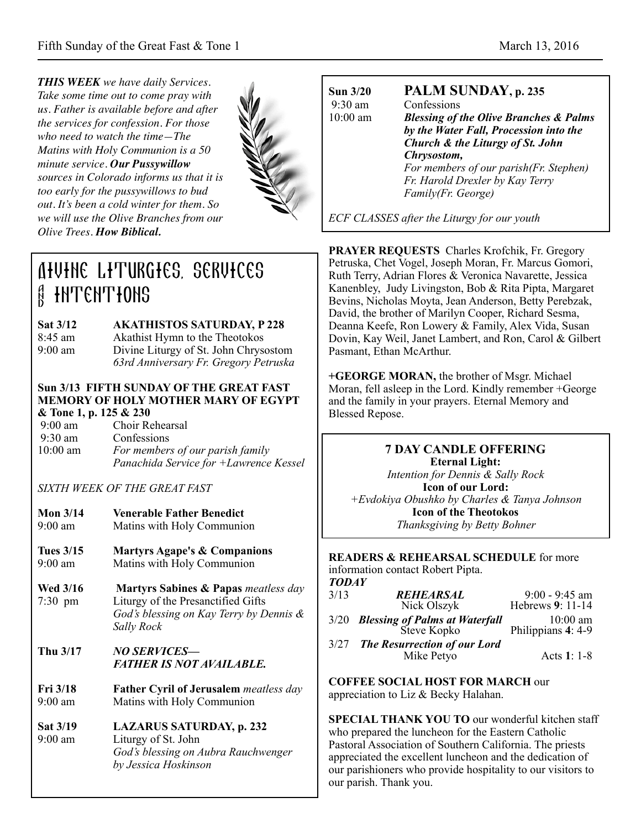*THIS WEEK we have daily Services. Take some time out to come pray with us. Father is available before and after the services for confession. For those who need to watch the time—The Matins with Holy Communion is a 50 minute service. Our Pussywillow sources in Colorado informs us that it is too early for the pussywillows to bud out. It's been a cold winter for them. So we will use the Olive Branches from our Olive Trees. How Biblical.*



# Divine Liturgies, services **A INTENTIONS**

**Sat 3/12 AKATHISTOS SATURDAY, P 228** 8:45 am Akathist Hymn to the Theotokos 9:00 am Divine Liturgy of St. John Chrysostom *63rd Anniversary Fr. Gregory Petruska*

#### **Sun 3/13 FIFTH SUNDAY OF THE GREAT FAST MEMORY OF HOLY MOTHER MARY OF EGYPT & Tone 1, p. 125 & 230**

 9:00 am Choir Rehearsal 9:30 am Confessions 10:00 am *For members of our parish family Panachida Service for +Lawrence Kessel*

*SIXTH WEEK OF THE GREAT FAST* 

| Mon $3/14$        | <b>Venerable Father Benedict</b> |
|-------------------|----------------------------------|
| $9:00 \text{ am}$ | Matins with Holy Communion       |

- **Tues 3/15 Martyrs Agape's & Companions**  9:00 am Matins with Holy Communion
- **Wed 3/16 Martyrs Sabines & Papas** *meatless day* 7:30 pm Liturgy of the Presanctified Gifts *God's blessing on Kay Terry by Dennis & Sally Rock*

## **Thu 3/17** *NO SERVICES— FATHER IS NOT AVAILABLE.*

- **Fri 3/18 Father Cyril of Jerusalem** *meatless day* 9:00 am Matins with Holy Communion
- **Sat 3/19 LAZARUS SATURDAY, p. 232**  9:00 am Liturgy of St. John *God's blessing on Aubra Rauchwenger by Jessica Hoskinson*

9:30 am Confessions

# **Sun 3/20 PALM SUNDAY, p. 235**

10:00 am *Blessing of the Olive Branches & Palms by the Water Fall, Procession into the Church & the Liturgy of St. John Chrysostom, For members of our parish(Fr. Stephen) Fr. Harold Drexler by Kay Terry Family(Fr. George)* 

*ECF CLASSES after the Liturgy for our youth*

**PRAYER REQUESTS** Charles Krofchik, Fr. Gregory Petruska, Chet Vogel, Joseph Moran, Fr. Marcus Gomori, Ruth Terry, Adrian Flores & Veronica Navarette, Jessica Kanenbley, Judy Livingston, Bob & Rita Pipta, Margaret Bevins, Nicholas Moyta, Jean Anderson, Betty Perebzak, David, the brother of Marilyn Cooper, Richard Sesma, Deanna Keefe, Ron Lowery & Family, Alex Vida, Susan Dovin, Kay Weil, Janet Lambert, and Ron, Carol & Gilbert Pasmant, Ethan McArthur.

**+GEORGE MORAN,** the brother of Msgr. Michael Moran, fell asleep in the Lord. Kindly remember +George and the family in your prayers. Eternal Memory and Blessed Repose.

# **7 DAY CANDLE OFFERING**

**Eternal Light:**  *Intention for Dennis & Sally Rock*  **Icon of our Lord:**  *+Evdokiya Obushko by Charles & Tanya Johnson*  **Icon of the Theotokos**  *Thanksgiving by Betty Bohner*

**READERS & REHEARSAL SCHEDULE** for more information contact Robert Pipta. *TODAY*

| 3/13 | REHEARSAL                                          | $9:00 - 9:45$ am                         |
|------|----------------------------------------------------|------------------------------------------|
|      | Nick Olszyk                                        | Hebrews 9: 11-14                         |
|      | 3/20 Blessing of Palms at Waterfall<br>Steve Kopko | $10:00 \text{ am}$<br>Philippians 4: 4-9 |
| 3/27 | <b>The Resurrection of our Lord</b><br>Mike Petyo  | Acts 1: 1-8                              |

**COFFEE SOCIAL HOST FOR MARCH** our appreciation to Liz & Becky Halahan.

**SPECIAL THANK YOU TO** our wonderful kitchen staff who prepared the luncheon for the Eastern Catholic Pastoral Association of Southern California. The priests appreciated the excellent luncheon and the dedication of our parishioners who provide hospitality to our visitors to our parish. Thank you.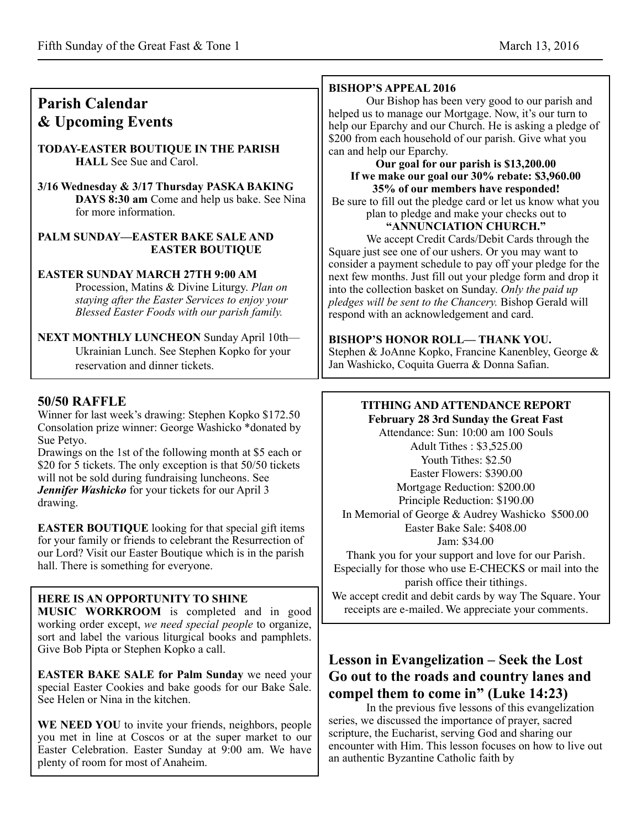| <b>Parish Calendar</b><br>& Upcoming Events<br><b>TODAY-EASTER BOUTIQUE IN THE PARISH</b><br><b>HALL</b> See Sue and Carol.<br>3/16 Wednesday & 3/17 Thursday PASKA BAKING<br>DAYS 8:30 am Come and help us bake. See Nina<br>for more information.<br>PALM SUNDAY-EASTER BAKE SALE AND<br><b>EASTER BOUTIQUE</b><br><b>EASTER SUNDAY MARCH 27TH 9:00 AM</b><br>Procession, Matins & Divine Liturgy. Plan on<br>staying after the Easter Services to enjoy your<br>Blessed Easter Foods with our parish family.                                                                                                         | <b>BISHOP'S APPEAL 2016</b><br>Our Bishop has been very good to our parish and<br>helped us to manage our Mortgage. Now, it's our turn to<br>help our Eparchy and our Church. He is asking a pledge of<br>\$200 from each household of our parish. Give what you<br>can and help our Eparchy.<br>Our goal for our parish is \$13,200.00<br>If we make our goal our 30% rebate: \$3,960.00<br>35% of our members have responded!<br>Be sure to fill out the pledge card or let us know what you<br>plan to pledge and make your checks out to<br>"ANNUNCIATION CHURCH."<br>We accept Credit Cards/Debit Cards through the<br>Square just see one of our ushers. Or you may want to<br>consider a payment schedule to pay off your pledge for the<br>next few months. Just fill out your pledge form and drop it<br>into the collection basket on Sunday. Only the paid up<br>pledges will be sent to the Chancery. Bishop Gerald will<br>respond with an acknowledgement and card. |
|-------------------------------------------------------------------------------------------------------------------------------------------------------------------------------------------------------------------------------------------------------------------------------------------------------------------------------------------------------------------------------------------------------------------------------------------------------------------------------------------------------------------------------------------------------------------------------------------------------------------------|-----------------------------------------------------------------------------------------------------------------------------------------------------------------------------------------------------------------------------------------------------------------------------------------------------------------------------------------------------------------------------------------------------------------------------------------------------------------------------------------------------------------------------------------------------------------------------------------------------------------------------------------------------------------------------------------------------------------------------------------------------------------------------------------------------------------------------------------------------------------------------------------------------------------------------------------------------------------------------------|
| <b>NEXT MONTHLY LUNCHEON Sunday April 10th-</b><br>Ukrainian Lunch. See Stephen Kopko for your<br>reservation and dinner tickets.                                                                                                                                                                                                                                                                                                                                                                                                                                                                                       | <b>BISHOP'S HONOR ROLL-THANK YOU.</b><br>Stephen & JoAnne Kopko, Francine Kanenbley, George &<br>Jan Washicko, Coquita Guerra & Donna Safian.                                                                                                                                                                                                                                                                                                                                                                                                                                                                                                                                                                                                                                                                                                                                                                                                                                     |
| <b>50/50 RAFFLE</b>                                                                                                                                                                                                                                                                                                                                                                                                                                                                                                                                                                                                     | <b>TITHING AND ATTENDANCE REPORT</b>                                                                                                                                                                                                                                                                                                                                                                                                                                                                                                                                                                                                                                                                                                                                                                                                                                                                                                                                              |
| Winner for last week's drawing: Stephen Kopko \$172.50<br>Consolation prize winner: George Washicko *donated by<br>Sue Petyo.<br>Drawings on the 1st of the following month at \$5 each or<br>\$20 for 5 tickets. The only exception is that 50/50 tickets<br>will not be sold during fundraising luncheons. See<br>Jennifer Washicko for your tickets for our April 3<br>drawing.<br><b>EASTER BOUTIQUE</b> looking for that special gift items<br>for your family or friends to celebrant the Resurrection of<br>our Lord? Visit our Easter Boutique which is in the parish<br>hall. There is something for everyone. | February 28 3rd Sunday the Great Fast<br>Attendance: Sun: 10:00 am 100 Souls<br>Adult Tithes: \$3,525.00<br>Youth Tithes: \$2.50<br>Easter Flowers: \$390.00<br>Mortgage Reduction: \$200.00<br>Principle Reduction: \$190.00<br>In Memorial of George & Audrey Washicko \$500.00<br>Easter Bake Sale: \$408.00<br>Jam: \$34.00<br>Thank you for your support and love for our Parish.<br>Especially for those who use E-CHECKS or mail into the<br>parish office their tithings.                                                                                                                                                                                                                                                                                                                                                                                                                                                                                                 |

### **HERE IS AN OPPORTUNITY TO SHINE**

**MUSIC WORKROOM** is completed and in good working order except, *we need special people* to organize, sort and label the various liturgical books and pamphlets. Give Bob Pipta or Stephen Kopko a call.

**EASTER BAKE SALE for Palm Sunday** we need your special Easter Cookies and bake goods for our Bake Sale. See Helen or Nina in the kitchen.

WE NEED YOU to invite your friends, neighbors, people you met in line at Coscos or at the super market to our Easter Celebration. Easter Sunday at 9:00 am. We have plenty of room for most of Anaheim.

# **Lesson in Evangelization – Seek the Lost Go out to the roads and country lanes and compel them to come in" (Luke 14:23)**

We accept credit and debit cards by way The Square. Your receipts are e-mailed. We appreciate your comments.

In the previous five lessons of this evangelization series, we discussed the importance of prayer, sacred scripture, the Eucharist, serving God and sharing our encounter with Him. This lesson focuses on how to live out an authentic Byzantine Catholic faith by